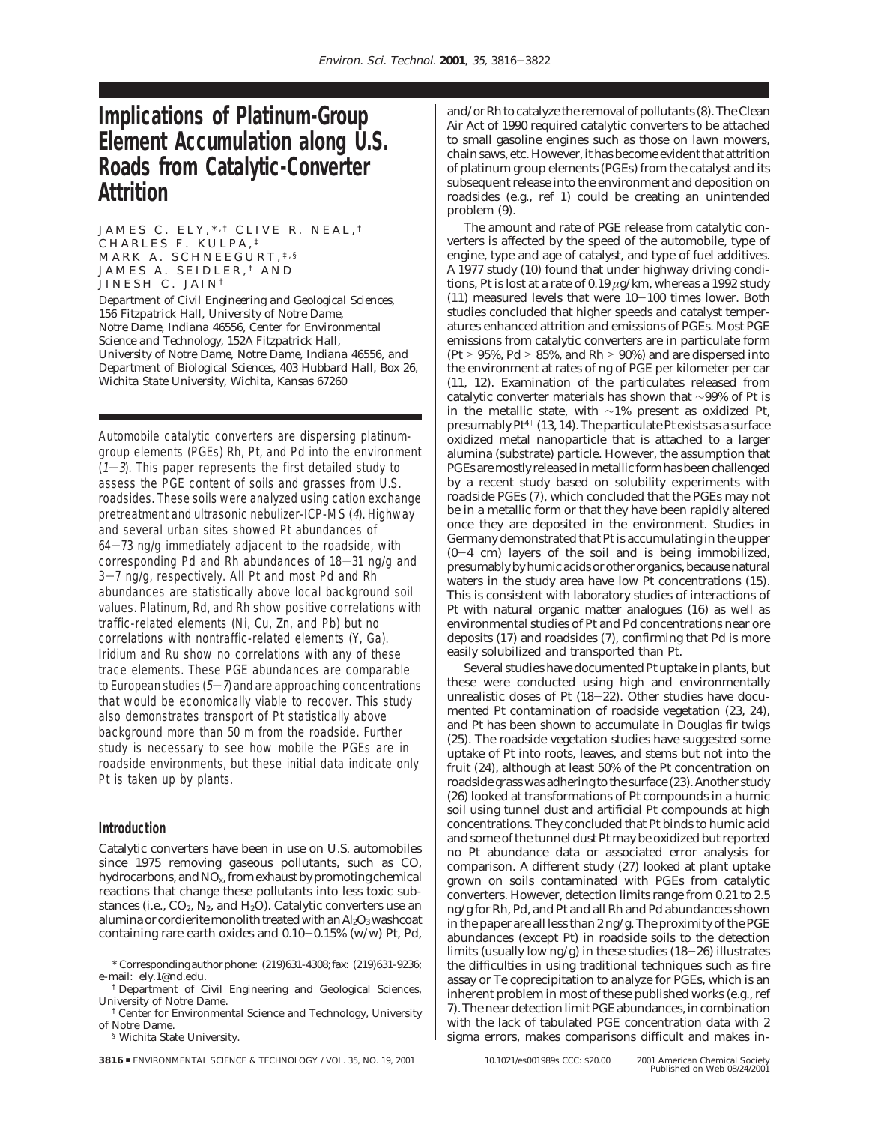# **Implications of Platinum-Group Element Accumulation along U.S. Roads from Catalytic-Converter Attrition**

JAMES C. ELY.\*<sup>,†</sup> CLIVE R. NEAL.<sup>†</sup> CHARLES F. KULPA, ‡ MARK A. SCHNEEGURT, ‡,§ JAMES A. SEIDLER, † AND JINESH C. JAIN †

*Department of Civil Engineering and Geological Sciences, 156 Fitzpatrick Hall, University of Notre Dame, Notre Dame, Indiana 46556, Center for Environmental Science and Technology, 152A Fitzpatrick Hall, University of Notre Dame, Notre Dame, Indiana 46556, and Department of Biological Sciences, 403 Hubbard Hall, Box 26, Wichita State University, Wichita, Kansas 67260*

Automobile catalytic converters are dispersing platinumgroup elements (PGEs) Rh, Pt, and Pd into the environment  $(1-3)$ . This paper represents the first detailed study to assess the PGE content of soils and grasses from U.S. roadsides. These soils were analyzed using cation exchange pretreatment and ultrasonic nebulizer-ICP-MS (4). Highway and several urban sites showed Pt abundances of <sup>64</sup>-73 ng/g immediately adjacent to the roadside, with corresponding Pd and Rh abundances of  $18-31$  ng/g and 3-7 ng/g, respectively. All Pt and most Pd and Rh abundances are statistically above local background soil values. Platinum, Rd, and Rh show positive correlations with traffic-related elements (Ni, Cu, Zn, and Pb) but no correlations with nontraffic-related elements (Y, Ga). Iridium and Ru show no correlations with any of these trace elements. These PGE abundances are comparable to European studies  $(5-7)$  and are approaching concentrations that would be economically viable to recover. This study also demonstrates transport of Pt statistically above background more than 50 m from the roadside. Further study is necessary to see how mobile the PGEs are in roadside environments, but these initial data indicate only Pt is taken up by plants.

## **Introduction**

Catalytic converters have been in use on U.S. automobiles since 1975 removing gaseous pollutants, such as CO, hydrocarbons, and NO*x*, from exhaust by promoting chemical reactions that change these pollutants into less toxic substances (i.e.,  $CO_2$ ,  $N_2$ , and  $H_2O$ ). Catalytic converters use an alumina or cordierite monolith treated with an  $\text{Al}_2\text{O}_3$  washcoat containing rare earth oxides and 0.10-0.15% (w/w) Pt, Pd,

§ Wichita State University.

and/or Rh to catalyze the removal of pollutants (*8*). The Clean Air Act of 1990 required catalytic converters to be attached to small gasoline engines such as those on lawn mowers, chain saws, etc. However, it has become evident that attrition of platinum group elements (PGEs) from the catalyst and its subsequent release into the environment and deposition on roadsides (e.g., ref *1*) could be creating an unintended problem (*9*).

The amount and rate of PGE release from catalytic converters is affected by the speed of the automobile, type of engine, type and age of catalyst, and type of fuel additives. A 1977 study (*10*) found that under highway driving conditions, Pt is lost at a rate of 0.19 *µ*g/km, whereas a 1992 study (*11*) measured levels that were 10-100 times lower. Both studies concluded that higher speeds and catalyst temperatures enhanced attrition and emissions of PGEs. Most PGE emissions from catalytic converters are in particulate form (Pt  $>$  95%, Pd  $>$  85%, and Rh  $>$  90%) and are dispersed into the environment at rates of ng of PGE per kilometer per car (*11, 12*). Examination of the particulates released from catalytic converter materials has shown that ∼99% of Pt is in the metallic state, with ∼1% present as oxidized Pt, presumably Pt4<sup>+</sup> (*13, 14*). The particulate Pt exists as a surface oxidized metal nanoparticle that is attached to a larger alumina (substrate) particle. However, the assumption that PGEs are mostly released in metallic form has been challenged by a recent study based on solubility experiments with roadside PGEs (*7*), which concluded that the PGEs may not be in a metallic form or that they have been rapidly altered once they are deposited in the environment. Studies in Germany demonstrated that Pt is accumulating in the upper (0-4 cm) layers of the soil and is being immobilized, presumably by humic acids or other organics, because natural waters in the study area have low Pt concentrations (*15*). This is consistent with laboratory studies of interactions of Pt with natural organic matter analogues (*16*) as well as environmental studies of Pt and Pd concentrations near ore deposits (*17*) and roadsides (*7*), confirming that Pd is more easily solubilized and transported than Pt.

Several studies have documented Pt uptake in plants, but these were conducted using high and environmentally unrealistic doses of Pt (*18*-*22*). Other studies have documented Pt contamination of roadside vegetation (*23, 24*), and Pt has been shown to accumulate in Douglas fir twigs (*25*). The roadside vegetation studies have suggested some uptake of Pt into roots, leaves, and stems but not into the fruit (*24*), although at least 50% of the Pt concentration on roadside grass was adhering to the surface (*23*). Another study (*26*) looked at transformations of Pt compounds in a humic soil using tunnel dust and artificial Pt compounds at high concentrations. They concluded that Pt binds to humic acid and some of the tunnel dust Pt may be oxidized but reported no Pt abundance data or associated error analysis for comparison. A different study (*27*) looked at plant uptake grown on soils contaminated with PGEs from catalytic converters. However, detection limits range from 0.21 to 2.5 ng/g for Rh, Pd, and Pt and all Rh and Pd abundances shown in the paper are all less than 2 ng/g. The proximity of the PGE abundances (except Pt) in roadside soils to the detection limits (usually low ng/g) in these studies (*18*-*26*) illustrates the difficulties in using traditional techniques such as fire assay or Te coprecipitation to analyze for PGEs, which is an inherent problem in most of these published works (e.g., ref *7*). The near detection limit PGE abundances, in combination with the lack of tabulated PGE concentration data with 2 sigma errors, makes comparisons difficult and makes in-

<sup>\*</sup> Corresponding author phone: (219)631-4308; fax: (219)631-9236; e-mail: ely.1@nd.edu.

<sup>†</sup> Department of Civil Engineering and Geological Sciences, University of Notre Dame.

<sup>‡</sup> Center for Environmental Science and Technology, University of Notre Dame.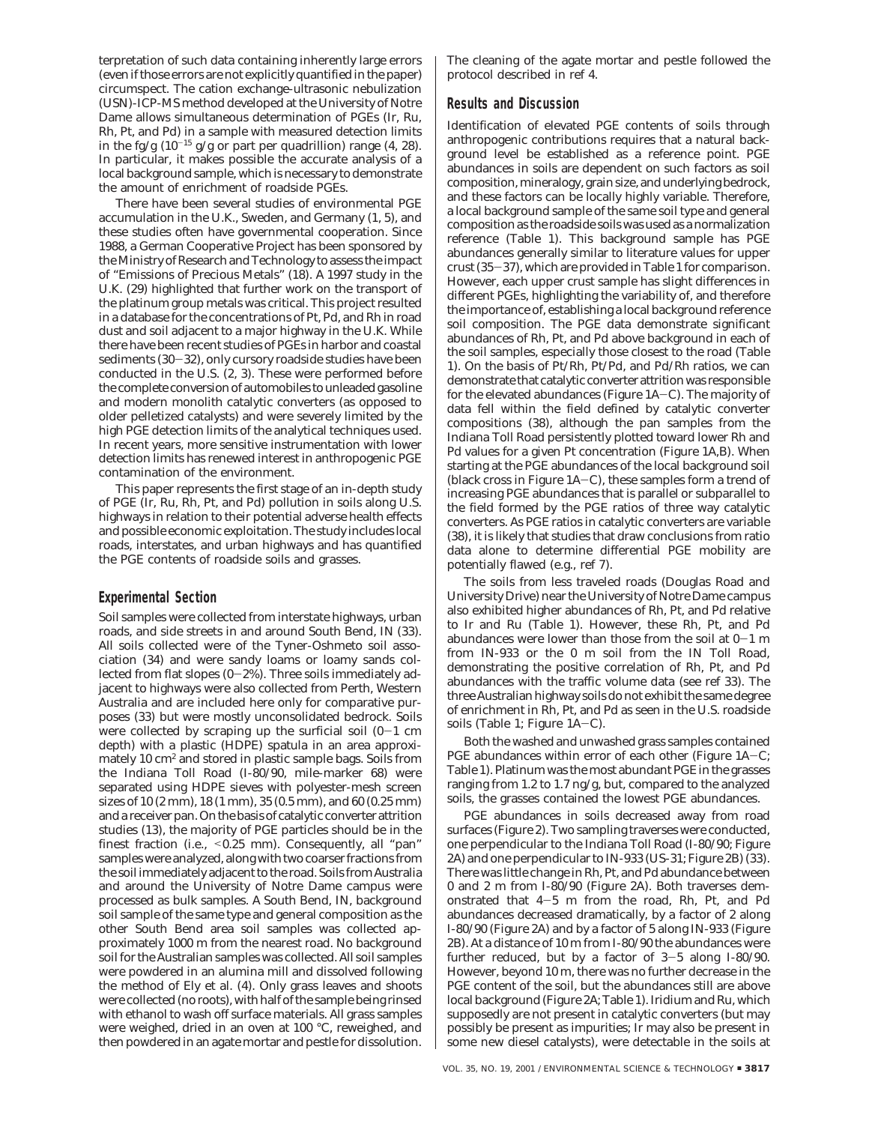terpretation of such data containing inherently large errors (even if those errors are not explicitly quantified in the paper) circumspect. The cation exchange-ultrasonic nebulization (USN)-ICP-MS method developed at the University of Notre Dame allows simultaneous determination of PGEs (Ir, Ru, Rh, Pt, and Pd) in a sample with measured detection limits in the fg/g (10-<sup>15</sup> g/g or part per quadrillion) range (*4, 28*). In particular, it makes possible the accurate analysis of a local background sample, which is necessary to demonstrate the amount of enrichment of roadside PGEs.

There have been several studies of environmental PGE accumulation in the U.K., Sweden, and Germany (*1, 5*), and these studies often have governmental cooperation. Since 1988, a German Cooperative Project has been sponsored by the Ministry of Research and Technology to assess the impact of "Emissions of Precious Metals" (*18*). A 1997 study in the U.K. (*29*) highlighted that further work on the transport of the platinum group metals was critical. This project resulted in a database for the concentrations of Pt, Pd, and Rh in road dust and soil adjacent to a major highway in the U.K. While there have been recent studies of PGEs in harbor and coastal sediments (*30*-*32*), only cursory roadside studies have been conducted in the U.S. (*2, 3*). These were performed before the complete conversion of automobiles to unleaded gasoline and modern monolith catalytic converters (as opposed to older pelletized catalysts) and were severely limited by the high PGE detection limits of the analytical techniques used. In recent years, more sensitive instrumentation with lower detection limits has renewed interest in anthropogenic PGE contamination of the environment.

This paper represents the first stage of an in-depth study of PGE (Ir, Ru, Rh, Pt, and Pd) pollution in soils along U.S. highways in relation to their potential adverse health effects and possible economic exploitation. The study includes local roads, interstates, and urban highways and has quantified the PGE contents of roadside soils and grasses.

## **Experimental Section**

Soil samples were collected from interstate highways, urban roads, and side streets in and around South Bend, IN (*33*). All soils collected were of the Tyner-Oshmeto soil association (*34*) and were sandy loams or loamy sands collected from flat slopes  $(0-2\%)$ . Three soils immediately adjacent to highways were also collected from Perth, Western Australia and are included here only for comparative purposes (*33*) but were mostly unconsolidated bedrock. Soils were collected by scraping up the surficial soil  $(0-1 \text{ cm})$ depth) with a plastic (HDPE) spatula in an area approximately 10 cm<sup>2</sup> and stored in plastic sample bags. Soils from the Indiana Toll Road (I-80/90, mile-marker 68) were separated using HDPE sieves with polyester-mesh screen sizes of 10 (2 mm), 18 (1 mm), 35 (0.5 mm), and 60 (0.25 mm) and a receiver pan. On the basis of catalytic converter attrition studies (*13*), the majority of PGE particles should be in the finest fraction (i.e., <0.25 mm). Consequently, all "pan" samples were analyzed, along with two coarser fractions from the soil immediately adjacent to the road. Soils from Australia and around the University of Notre Dame campus were processed as bulk samples. A South Bend, IN, background soil sample of the same type and general composition as the other South Bend area soil samples was collected approximately 1000 m from the nearest road. No background soil for the Australian samples was collected. All soil samples were powdered in an alumina mill and dissolved following the method of Ely et al. (*4*). Only grass leaves and shoots were collected (no roots), with half of the sample being rinsed with ethanol to wash off surface materials. All grass samples were weighed, dried in an oven at 100 °C, reweighed, and then powdered in an agate mortar and pestle for dissolution.

The cleaning of the agate mortar and pestle followed the protocol described in ref *4*.

### **Results and Discussion**

Identification of elevated PGE contents of soils through anthropogenic contributions requires that a natural background level be established as a reference point. PGE abundances in soils are dependent on such factors as soil composition, mineralogy, grain size, and underlying bedrock, and these factors can be locally highly variable. Therefore, a local background sample of the same soil type and general composition as the roadside soils was used as a normalization reference (Table 1). This background sample has PGE abundances generally similar to literature values for upper crust (*35*-*37*), which are provided in Table 1 for comparison. However, each upper crust sample has slight differences in different PGEs, highlighting the variability of, and therefore the importance of, establishing a local background reference soil composition. The PGE data demonstrate significant abundances of Rh, Pt, and Pd above background in each of the soil samples, especially those closest to the road (Table 1). On the basis of Pt/Rh, Pt/Pd, and Pd/Rh ratios, we can demonstrate that catalytic converter attrition was responsible for the elevated abundances (Figure 1A-C). The majority of data fell within the field defined by catalytic converter compositions (*38*), although the pan samples from the Indiana Toll Road persistently plotted toward lower Rh and Pd values for a given Pt concentration (Figure 1A,B). When starting at the PGE abundances of the local background soil (black cross in Figure  $1A-C$ ), these samples form a trend of increasing PGE abundances that is parallel or subparallel to the field formed by the PGE ratios of three way catalytic converters. As PGE ratios in catalytic converters are variable (*38*), it is likely that studies that draw conclusions from ratio data alone to determine differential PGE mobility are potentially flawed (e.g., ref *7*).

The soils from less traveled roads (Douglas Road and University Drive) near the University of Notre Dame campus also exhibited higher abundances of Rh, Pt, and Pd relative to Ir and Ru (Table 1). However, these Rh, Pt, and Pd abundances were lower than those from the soil at  $0-1$  m from IN-933 or the 0 m soil from the IN Toll Road, demonstrating the positive correlation of Rh, Pt, and Pd abundances with the traffic volume data (see ref *33*). The three Australian highway soils do not exhibit the same degree of enrichment in Rh, Pt, and Pd as seen in the U.S. roadside soils (Table 1; Figure 1A-C).

Both the washed and unwashed grass samples contained PGE abundances within error of each other (Figure 1A-C; Table 1). Platinum was the most abundant PGE in the grasses ranging from 1.2 to 1.7 ng/g, but, compared to the analyzed soils, the grasses contained the lowest PGE abundances.

PGE abundances in soils decreased away from road surfaces (Figure 2). Two sampling traverses were conducted, one perpendicular to the Indiana Toll Road (I-80/90; Figure 2A) and one perpendicular to IN-933 (US-31; Figure 2B) (*33*). There was little change in Rh, Pt, and Pd abundance between 0 and 2 m from I-80/90 (Figure 2A). Both traverses demonstrated that 4-5 m from the road, Rh, Pt, and Pd abundances decreased dramatically, by a factor of 2 along I-80/90 (Figure 2A) and by a factor of 5 along IN-933 (Figure 2B). At a distance of 10 m from I-80/90 the abundances were further reduced, but by a factor of  $3-5$  along I-80/90. However, beyond 10 m, there was no further decrease in the PGE content of the soil, but the abundances still are above local background (Figure 2A; Table 1). Iridium and Ru, which supposedly are not present in catalytic converters (but may possibly be present as impurities; Ir may also be present in some new diesel catalysts), were detectable in the soils at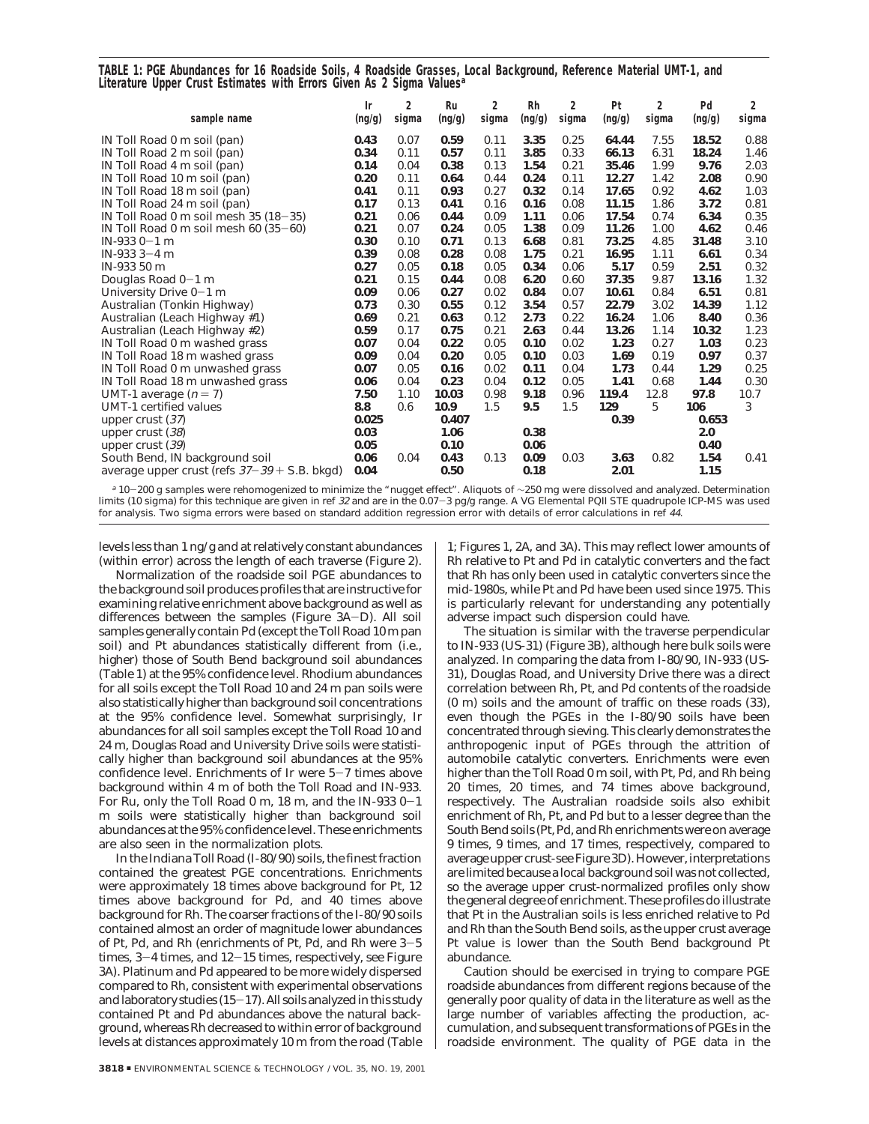**TABLE 1: PGE Abundances for 16 Roadside Soils, 4 Roadside Grasses, Local Background, Reference Material UMT-1, and Literature Upper Crust Estimates with Errors Given As 2 Sigma Values***<sup>a</sup>*

| sample name                                      | Ir<br>(ng/g) | 2<br>sigma | Ru<br>(ng/g) | 2<br>sigma | <b>Rh</b><br>(ng/g) | 2<br>sigma | Pt<br>(ng/g) | 2<br>sigma | Pd<br>(ng/g) | 2<br>sigma |
|--------------------------------------------------|--------------|------------|--------------|------------|---------------------|------------|--------------|------------|--------------|------------|
| IN Toll Road 0 m soil (pan)                      | 0.43         | 0.07       | 0.59         | 0.11       | 3.35                | 0.25       | 64.44        | 7.55       | 18.52        | 0.88       |
| IN Toll Road 2 m soil (pan)                      | 0.34         | 0.11       | 0.57         | 0.11       | 3.85                | 0.33       | 66.13        | 6.31       | 18.24        | 1.46       |
| IN Toll Road 4 m soil (pan)                      | 0.14         | 0.04       | 0.38         | 0.13       | 1.54                | 0.21       | 35.46        | 1.99       | 9.76         | 2.03       |
| IN Toll Road 10 m soil (pan)                     | 0.20         | 0.11       | 0.64         | 0.44       | 0.24                | 0.11       | 12.27        | 1.42       | 2.08         | 0.90       |
| IN Toll Road 18 m soil (pan)                     | 0.41         | 0.11       | 0.93         | 0.27       | 0.32                | 0.14       | 17.65        | 0.92       | 4.62         | 1.03       |
| IN Toll Road 24 m soil (pan)                     | 0.17         | 0.13       | 0.41         | 0.16       | 0.16                | 0.08       | 11.15        | 1.86       | 3.72         | 0.81       |
| IN Toll Road 0 m soil mesh 35 $(18-35)$          | 0.21         | 0.06       | 0.44         | 0.09       | 1.11                | 0.06       | 17.54        | 0.74       | 6.34         | 0.35       |
| IN Toll Road 0 m soil mesh 60 $(35-60)$          | 0.21         | 0.07       | 0.24         | 0.05       | 1.38                | 0.09       | 11.26        | 1.00       | 4.62         | 0.46       |
| $IN-9330-1m$                                     | 0.30         | 0.10       | 0.71         | 0.13       | 6.68                | 0.81       | 73.25        | 4.85       | 31.48        | 3.10       |
| $IN-9333-4m$                                     | 0.39         | 0.08       | 0.28         | 0.08       | 1.75                | 0.21       | 16.95        | 1.11       | 6.61         | 0.34       |
| IN-933 50 m                                      | 0.27         | 0.05       | 0.18         | 0.05       | 0.34                | 0.06       | 5.17         | 0.59       | 2.51         | 0.32       |
| Douglas Road 0-1 m                               | 0.21         | 0.15       | 0.44         | 0.08       | 6.20                | 0.60       | 37.35        | 9.87       | 13.16        | 1.32       |
| University Drive 0-1 m                           | 0.09         | 0.06       | 0.27         | 0.02       | 0.84                | 0.07       | 10.61        | 0.84       | 6.51         | 0.81       |
| Australian (Tonkin Highway)                      | 0.73         | 0.30       | 0.55         | 0.12       | 3.54                | 0.57       | 22.79        | 3.02       | 14.39        | 1.12       |
| Australian (Leach Highway #1)                    | 0.69         | 0.21       | 0.63         | 0.12       | 2.73                | 0.22       | 16.24        | 1.06       | 8.40         | 0.36       |
| Australian (Leach Highway #2)                    | 0.59         | 0.17       | 0.75         | 0.21       | 2.63                | 0.44       | 13.26        | 1.14       | 10.32        | 1.23       |
| IN Toll Road 0 m washed grass                    | 0.07         | 0.04       | 0.22         | 0.05       | 0.10                | 0.02       | 1.23         | 0.27       | 1.03         | 0.23       |
| IN Toll Road 18 m washed grass                   | 0.09         | 0.04       | 0.20         | 0.05       | 0.10                | 0.03       | 1.69         | 0.19       | 0.97         | 0.37       |
| IN Toll Road 0 m unwashed grass                  | 0.07         | 0.05       | 0.16         | 0.02       | 0.11                | 0.04       | 1.73         | 0.44       | 1.29         | 0.25       |
| IN Toll Road 18 m unwashed grass                 | 0.06         | 0.04       | 0.23         | 0.04       | 0.12                | 0.05       | 1.41         | 0.68       | 1.44         | 0.30       |
| UMT-1 average $(n=7)$                            | 7.50         | 1.10       | 10.03        | 0.98       | 9.18                | 0.96       | 119.4        | 12.8       | 97.8         | 10.7       |
| UMT-1 certified values                           | 8.8          | 0.6        | 10.9         | 1.5        | 9.5                 | 1.5        | 129          | 5          | 106          | 3          |
| upper crust $(37)$                               | 0.025        |            | 0.407        |            |                     |            | 0.39         |            | 0.653        |            |
| upper crust (38)                                 | 0.03         |            | 1.06         |            | 0.38                |            |              |            | 2.0          |            |
| upper crust (39)                                 | 0.05         |            | 0.10         |            | 0.06                |            |              |            | 0.40         |            |
| South Bend, IN background soil                   | 0.06         | 0.04       | 0.43         | 0.13       | 0.09                | 0.03       | 3.63         | 0.82       | 1.54         | 0.41       |
| average upper crust (refs $37 - 39 + S.B.$ bkgd) | 0.04         |            | 0.50         |            | 0.18                |            | 2.01         |            | 1.15         |            |

a 10-200 g samples were rehomogenized to minimize the "nugget effect". Aliquots of ∼250 mg were dissolved and analyzed. Determination<br>its (10 sigma) for this technique are given in ref 32 and are in the 0.07-3 pg/g range. limits (10 sigma) for this technique are given in ref <sup>32</sup> and are in the 0.07-3 pg/g range. A VG Elemental PQII STE quadrupole ICP-MS was used for analysis. Two sigma errors were based on standard addition regression error with details of error calculations in ref <sup>44</sup>.

levels less than 1 ng/g and at relatively constant abundances (within error) across the length of each traverse (Figure 2).

Normalization of the roadside soil PGE abundances to the background soil produces profiles that are instructive for examining relative enrichment above background as well as differences between the samples (Figure 3A-D). All soil samples generally contain Pd (except the Toll Road 10 m pan soil) and Pt abundances statistically different from (i.e., higher) those of South Bend background soil abundances (Table 1) at the 95% confidence level. Rhodium abundances for all soils except the Toll Road 10 and 24 m pan soils were also statistically higher than background soil concentrations at the 95% confidence level. Somewhat surprisingly, Ir abundances for all soil samples except the Toll Road 10 and 24 m, Douglas Road and University Drive soils were statistically higher than background soil abundances at the 95% confidence level. Enrichments of Ir were 5-7 times above background within 4 m of both the Toll Road and IN-933. For Ru, only the Toll Road 0 m, 18 m, and the IN-933 0-<sup>1</sup> m soils were statistically higher than background soil abundances at the 95% confidence level. These enrichments are also seen in the normalization plots.

In the Indiana Toll Road (I-80/90) soils, the finest fraction contained the greatest PGE concentrations. Enrichments were approximately 18 times above background for Pt, 12 times above background for Pd, and 40 times above background for Rh. The coarser fractions of the I-80/90 soils contained almost an order of magnitude lower abundances of Pt, Pd, and Rh (enrichments of Pt, Pd, and Rh were 3-<sup>5</sup> times, 3-4 times, and 12-15 times, respectively, see Figure 3A). Platinum and Pd appeared to be more widely dispersed compared to Rh, consistent with experimental observations and laboratory studies (*15*-*17*). All soils analyzed in this study contained Pt and Pd abundances above the natural background, whereas Rh decreased to within error of background levels at distances approximately 10 m from the road (Table

1; Figures 1, 2A, and 3A). This may reflect lower amounts of Rh relative to Pt and Pd in catalytic converters and the fact that Rh has only been used in catalytic converters since the mid-1980s, while Pt and Pd have been used since 1975. This is particularly relevant for understanding any potentially adverse impact such dispersion could have.

The situation is similar with the traverse perpendicular to IN-933 (US-31) (Figure 3B), although here bulk soils were analyzed. In comparing the data from I-80/90, IN-933 (US-31), Douglas Road, and University Drive there was a direct correlation between Rh, Pt, and Pd contents of the roadside (0 m) soils and the amount of traffic on these roads (*33*), even though the PGEs in the I-80/90 soils have been concentrated through sieving. This clearly demonstrates the anthropogenic input of PGEs through the attrition of automobile catalytic converters. Enrichments were even higher than the Toll Road 0 m soil, with Pt, Pd, and Rh being 20 times, 20 times, and 74 times above background, respectively. The Australian roadside soils also exhibit enrichment of Rh, Pt, and Pd but to a lesser degree than the South Bend soils (Pt, Pd, and Rh enrichments were on average 9 times, 9 times, and 17 times, respectively, compared to average upper crust-see Figure 3D). However, interpretations are limited because a local background soil was not collected, so the average upper crust-normalized profiles only show the general degree of enrichment. These profiles do illustrate that Pt in the Australian soils is less enriched relative to Pd and Rh than the South Bend soils, as the upper crust average Pt value is lower than the South Bend background Pt abundance.

Caution should be exercised in trying to compare PGE roadside abundances from different regions because of the generally poor quality of data in the literature as well as the large number of variables affecting the production, accumulation, and subsequent transformations of PGEs in the roadside environment. The quality of PGE data in the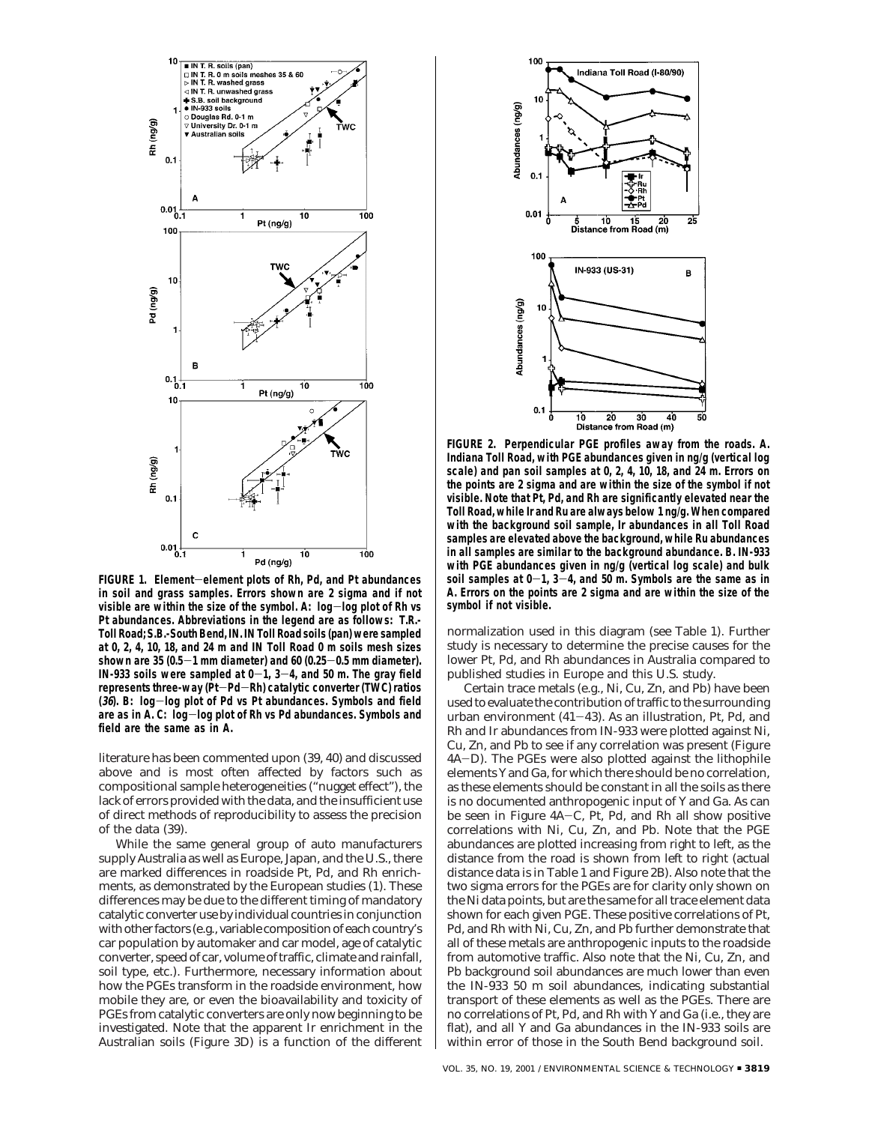

**FIGURE 1. Element**-**element plots of Rh, Pd, and Pt abundances in soil and grass samples. Errors shown are 2 sigma and if not visible are within the size of the symbol. A: log**-**log plot of Rh vs Pt abundances. Abbreviations in the legend are as follows: T.R.- Toll Road; S.B.-South Bend, IN. IN Toll Road soils (pan) were sampled at 0, 2, 4, 10, 18, and 24 m and IN Toll Road 0 m soils mesh sizes shown are 35 (0.5**-**1 mm diameter) and 60 (0.25**-**0.5 mm diameter).** IN-933 soils were sampled at  $0-1$ ,  $3-4$ , and 50 m. The gray field **represents three-way (Pt**-**Pd**-**Rh) catalytic converter (TWC) ratios (36). B: log**-**log plot of Pd vs Pt abundances. Symbols and field are as in A. C: log**-**log plot of Rh vs Pd abundances. Symbols and field are the same as in A.**

literature has been commented upon (*39, 40*) and discussed above and is most often affected by factors such as compositional sample heterogeneities ("nugget effect"), the lack of errors provided with the data, and the insufficient use of direct methods of reproducibility to assess the precision of the data (*39*).

While the same general group of auto manufacturers supply Australia as well as Europe, Japan, and the U.S., there are marked differences in roadside Pt, Pd, and Rh enrichments, as demonstrated by the European studies (*1*). These differences may be due to the different timing of mandatory catalytic converter use by individual countries in conjunction with other factors (e.g., variable composition of each country's car population by automaker and car model, age of catalytic converter, speed of car, volume of traffic, climate and rainfall, soil type, etc.). Furthermore, necessary information about how the PGEs transform in the roadside environment, how mobile they are, or even the bioavailability and toxicity of PGEs from catalytic converters are only now beginning to be investigated. Note that the apparent Ir enrichment in the Australian soils (Figure 3D) is a function of the different



**FIGURE 2. Perpendicular PGE profiles away from the roads. A. Indiana Toll Road, with PGE abundances given in ng/g (vertical log scale) and pan soil samples at 0, 2, 4, 10, 18, and 24 m. Errors on the points are 2 sigma and are within the size of the symbol if not visible. Note that Pt, Pd, and Rh are significantly elevated near the Toll Road, while Ir and Ru are always below 1 ng/g. When compared with the background soil sample, Ir abundances in all Toll Road samples are elevated above the background, while Ru abundances in all samples are similar to the background abundance. B. IN-933 with PGE abundances given in ng/g (vertical log scale) and bulk soil samples at 0**-**1, 3**-**4, and 50 m. Symbols are the same as in A. Errors on the points are 2 sigma and are within the size of the symbol if not visible.**

normalization used in this diagram (see Table 1). Further study is necessary to determine the precise causes for the lower Pt, Pd, and Rh abundances in Australia compared to published studies in Europe and this U.S. study.

Certain trace metals (e.g., Ni, Cu, Zn, and Pb) have been used to evaluate the contribution of traffic to the surrounding urban environment (*41*-*43*). As an illustration, Pt, Pd, and Rh and Ir abundances from IN-933 were plotted against Ni, Cu, Zn, and Pb to see if any correlation was present (Figure 4A-D). The PGEs were also plotted against the lithophile elements Y and Ga, for which there should be no correlation, as these elements should be constant in all the soils as there is no documented anthropogenic input of Y and Ga. As can be seen in Figure 4A-C, Pt, Pd, and Rh all show positive correlations with Ni, Cu, Zn, and Pb. Note that the PGE abundances are plotted increasing from right to left, as the distance from the road is shown from left to right (actual distance data is in Table 1 and Figure 2B). Also note that the two sigma errors for the PGEs are for clarity only shown on the Ni data points, but are the same for all trace element data shown for each given PGE. These positive correlations of Pt, Pd, and Rh with Ni, Cu, Zn, and Pb further demonstrate that all of these metals are anthropogenic inputs to the roadside from automotive traffic. Also note that the Ni, Cu, Zn, and Pb background soil abundances are much lower than even the IN-933 50 m soil abundances, indicating substantial transport of these elements as well as the PGEs. There are no correlations of Pt, Pd, and Rh with Y and Ga (i.e., they are flat), and all Y and Ga abundances in the IN-933 soils are within error of those in the South Bend background soil.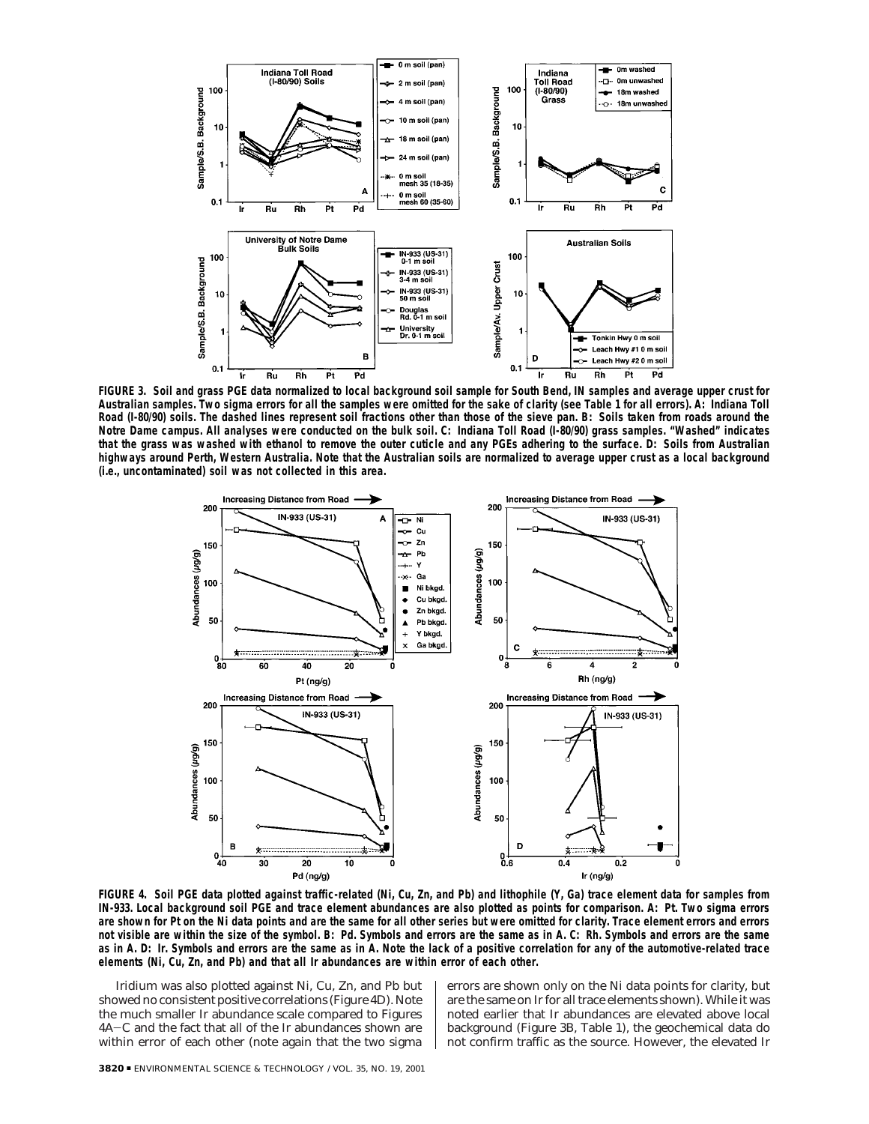

**FIGURE 3. Soil and grass PGE data normalized to local background soil sample for South Bend, IN samples and average upper crust for Australian samples. Two sigma errors for all the samples were omitted for the sake of clarity (see Table 1 for all errors). A: Indiana Toll Road (I-80/90) soils. The dashed lines represent soil fractions other than those of the sieve pan. B: Soils taken from roads around the Notre Dame campus. All analyses were conducted on the bulk soil. C: Indiana Toll Road (I-80/90) grass samples. "Washed" indicates that the grass was washed with ethanol to remove the outer cuticle and any PGEs adhering to the surface. D: Soils from Australian highways around Perth, Western Australia. Note that the Australian soils are normalized to average upper crust as a local background (i.e., uncontaminated) soil was not collected in this area.**



**FIGURE 4. Soil PGE data plotted against traffic-related (Ni, Cu, Zn, and Pb) and lithophile (Y, Ga) trace element data for samples from IN-933. Local background soil PGE and trace element abundances are also plotted as points for comparison. A: Pt. Two sigma errors are shown for Pt on the Ni data points and are the same for all other series but were omitted for clarity. Trace element errors and errors not visible are within the size of the symbol. B: Pd. Symbols and errors are the same as in A. C: Rh. Symbols and errors are the same as in A. D: Ir. Symbols and errors are the same as in A. Note the lack of a positive correlation for any of the automotive-related trace elements (Ni, Cu, Zn, and Pb) and that all Ir abundances are within error of each other.**

Iridium was also plotted against Ni, Cu, Zn, and Pb but showed no consistent positive correlations (Figure 4D). Note the much smaller Ir abundance scale compared to Figures 4A-C and the fact that all of the Ir abundances shown are within error of each other (note again that the two sigma errors are shown only on the Ni data points for clarity, but are the same on Ir for all trace elements shown). While it was noted earlier that Ir abundances are elevated above local background (Figure 3B, Table 1), the geochemical data do not confirm traffic as the source. However, the elevated Ir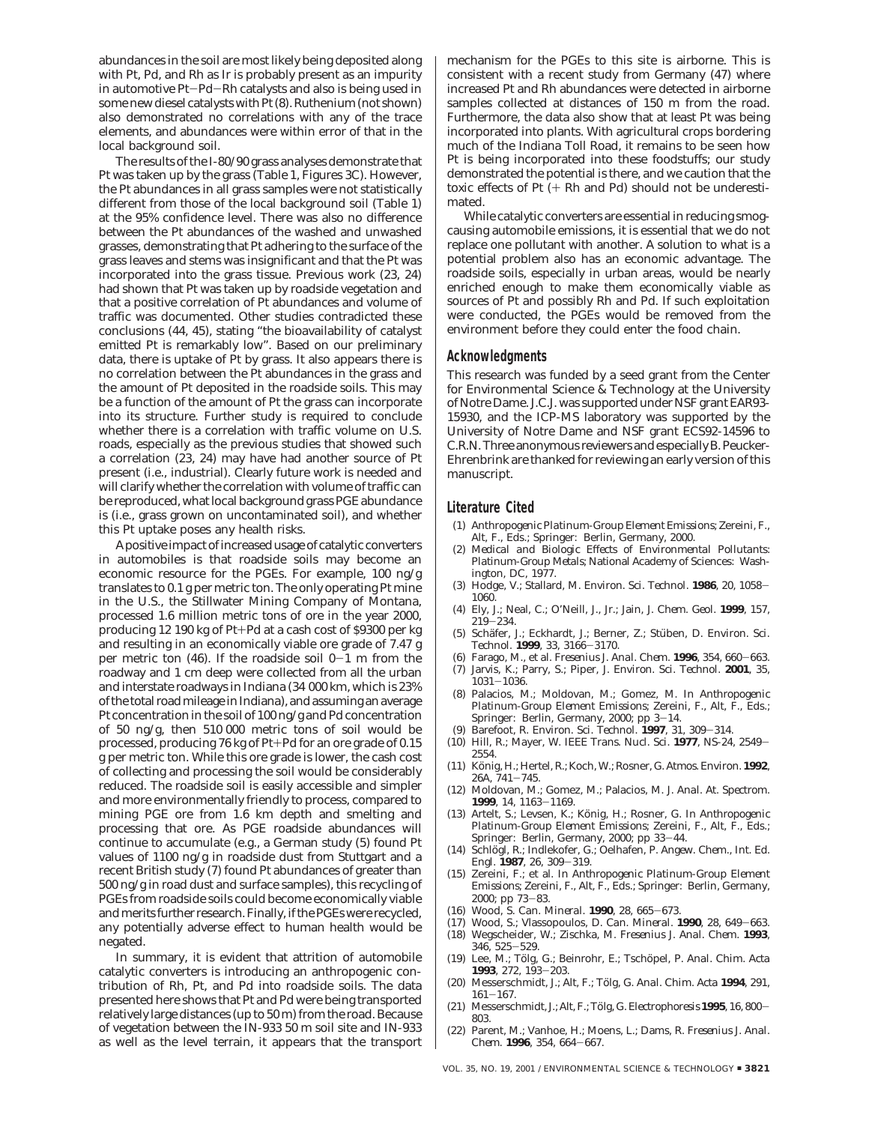abundances in the soil are most likely being deposited along with Pt, Pd, and Rh as Ir is probably present as an impurity in automotive Pt-Pd-Rh catalysts and also is being used in some new diesel catalysts with Pt (*8*). Ruthenium (not shown) also demonstrated no correlations with any of the trace elements, and abundances were within error of that in the local background soil.

The results of the I-80/90 grass analyses demonstrate that Pt was taken up by the grass (Table 1, Figures 3C). However, the Pt abundances in all grass samples were not statistically different from those of the local background soil (Table 1) at the 95% confidence level. There was also no difference between the Pt abundances of the washed and unwashed grasses, demonstrating that Pt adhering to the surface of the grass leaves and stems was insignificant and that the Pt was incorporated into the grass tissue. Previous work (*23, 24*) had shown that Pt was taken up by roadside vegetation and that a positive correlation of Pt abundances and volume of traffic was documented. Other studies contradicted these conclusions (*44, 45*), stating "the bioavailability of catalyst emitted Pt is remarkably low". Based on our preliminary data, there is uptake of Pt by grass. It also appears there is no correlation between the Pt abundances in the grass and the amount of Pt deposited in the roadside soils. This may be a function of the amount of Pt the grass can incorporate into its structure. Further study is required to conclude whether there is a correlation with traffic volume on U.S. roads, especially as the previous studies that showed such a correlation (*23, 24*) may have had another source of Pt present (i.e., industrial). Clearly future work is needed and will clarify whether the correlation with volume of traffic can be reproduced, what local background grass PGE abundance is (i.e., grass grown on uncontaminated soil), and whether this Pt uptake poses any health risks.

A positive impact of increased usage of catalytic converters in automobiles is that roadside soils may become an economic resource for the PGEs. For example, 100 ng/g translates to 0.1 g per metric ton. The only operating Pt mine in the U.S., the Stillwater Mining Company of Montana, processed 1.6 million metric tons of ore in the year 2000, producing 12 190 kg of Pt+Pd at a cash cost of \$9300 per kg and resulting in an economically viable ore grade of 7.47 g per metric ton (*46*). If the roadside soil 0-1 m from the roadway and 1 cm deep were collected from all the urban and interstate roadways in Indiana (34 000 km, which is 23% of the total road mileage in Indiana), and assuming an average Pt concentration in the soil of 100 ng/g and Pd concentration of 50 ng/g, then 510 000 metric tons of soil would be processed, producing 76 kg of Pt+Pd for an ore grade of 0.15 g per metric ton. While this ore grade is lower, the cash cost of collecting and processing the soil would be considerably reduced. The roadside soil is easily accessible and simpler and more environmentally friendly to process, compared to mining PGE ore from 1.6 km depth and smelting and processing that ore. As PGE roadside abundances will continue to accumulate (e.g., a German study (*5*) found Pt values of 1100 ng/g in roadside dust from Stuttgart and a recent British study (*7*) found Pt abundances of greater than 500 ng/g in road dust and surface samples), this recycling of PGEs from roadside soils could become economically viable and merits further research. Finally, if the PGEs were recycled, any potentially adverse effect to human health would be negated.

In summary, it is evident that attrition of automobile catalytic converters is introducing an anthropogenic contribution of Rh, Pt, and Pd into roadside soils. The data presented here shows that Pt and Pd were being transported relatively large distances (up to 50 m) from the road. Because of vegetation between the IN-933 50 m soil site and IN-933 as well as the level terrain, it appears that the transport

mechanism for the PGEs to this site is airborne. This is consistent with a recent study from Germany (*47*) where increased Pt and Rh abundances were detected in airborne samples collected at distances of 150 m from the road. Furthermore, the data also show that at least Pt was being incorporated into plants. With agricultural crops bordering much of the Indiana Toll Road, it remains to be seen how Pt is being incorporated into these foodstuffs; our study demonstrated the potential is there, and we caution that the toxic effects of Pt (+ Rh and Pd) should not be underestimated.

While catalytic converters are essential in reducing smogcausing automobile emissions, it is essential that we do not replace one pollutant with another. A solution to what is a potential problem also has an economic advantage. The roadside soils, especially in urban areas, would be nearly enriched enough to make them economically viable as sources of Pt and possibly Rh and Pd. If such exploitation were conducted, the PGEs would be removed from the environment before they could enter the food chain.

#### **Acknowledgments**

This research was funded by a seed grant from the Center for Environmental Science & Technology at the University of Notre Dame. J.C.J. was supported under NSF grant EAR93- 15930, and the ICP-MS laboratory was supported by the University of Notre Dame and NSF grant ECS92-14596 to C.R.N. Three anonymous reviewers and especially B. Peucker-Ehrenbrink are thanked for reviewing an early version of this manuscript.

#### **Literature Cited**

- (1) *Anthropogenic Platinum-Group Element Emissions*; Zereini, F., Alt, F., Eds.; Springer: Berlin, Germany, 2000.
- (2) *Medical and Biologic Effects of Environmental Pollutants: Platinum-Group Metals*; National Academy of Sciences: Washington, DC, 1977.
- (3) Hodge, V.; Stallard, M. *Environ. Sci. Technol.* **<sup>1986</sup>**, *<sup>20</sup>*, 1058- 1060.
- (4) Ely, J.; Neal, C.; O'Neill, J., Jr.; Jain, J. *Chem. Geol.* **1999**, *157*,  $219 - 234.$
- (5) Schäfer, J.; Eckhardt, J.; Berner, Z.; Stüben, D. *Environ. Sci. Technol*. **<sup>1999</sup>**, *<sup>33</sup>*, 3166-3170.
- (6) Farago, M., et al. *Fresenius J. Anal. Chem.* **<sup>1996</sup>**, *<sup>354</sup>*, 660-663.
- (7) Jarvis, K.; Parry, S.; Piper, J. *Environ. Sci. Technol*. **2001**, *35*, <sup>1031</sup>-1036. (8) Palacios, M.; Moldovan, M.; Gomez, M. In *Anthropogenic*
- *Platinum-Group Element Emissions*; Zereini, F., Alt, F., Eds.; Springer: Berlin, Germany, 2000; pp 3-14.
- (9) Barefoot, R. *Environ. Sci. Technol.* **<sup>1997</sup>**, *<sup>31</sup>*, 309-314.
- (10) Hill, R.; Mayer, W. *IEEE Trans. Nucl. Sci.* **<sup>1977</sup>**, *NS-24*, 2549- 2554.
- (11) Ko¨nig, H.; Hertel, R.; Koch, W.; Rosner, G. *Atmos. Environ.* **1992**, *26A*, 741-745.
- (12) Moldovan, M.; Gomez, M.; Palacios, M. *J. Anal. At. Spectrom.* **<sup>1999</sup>**, *<sup>14</sup>*, 1163-1169.
- (13) Artelt, S.; Levsen, K.; König, H.; Rosner, G. In *Anthropogenic Platinum-Group Element Emissions*; Zereini, F., Alt, F., Eds.; Springer: Berlin, Germany, 2000; pp 33-44.
- (14) Schlo¨gl, R.; Indlekofer, G.; Oelhafen, P. *Angew. Chem., Int. Ed. Engl.* **<sup>1987</sup>**, *<sup>26</sup>*, 309-319.
- (15) Zereini, F.; et al. In *Anthropogenic Platinum-Group Element Emissions*; Zereini, F., Alt, F., Eds.; Springer: Berlin, Germany,
- 2000; pp 73-83.<br>(16) Wood, S. Can. Mineral. **1990**, 28, 665-673. (16) Wood, S. *Can. Mineral.* **<sup>1990</sup>**, *<sup>28</sup>*, 665-673.
- (17) Wood, S.; Vlassopoulos, D. *Can. Mineral.* **<sup>1990</sup>**, *<sup>28</sup>*, 649-663.
- (18) Wegscheider, W.; Zischka, M. *Fresenius J. Anal. Chem.* **1993**,
- *346*, 525–529.<br>(19) Lee, M.; Tölg, G.; Beinrohr, E.; Tschöpel, P. *Anal. Chim. Acta*
- **<sup>1993</sup>**, *<sup>272</sup>*, 193-203. (20) Messerschmidt, J.; Alt, F.; To¨lg, G. *Anal. Chim. Acta* **1994**, *291*, 161–167.<br>Messersc
- (21) Messerschmidt, J.; Alt, F.; To¨lg, G. *Electrophoresis* **<sup>1995</sup>**, *<sup>16</sup>*, 800- 803.
- (22) Parent, M.; Vanhoe, H.; Moens, L.; Dams, R. *Fresenius J. Anal. Chem.* **<sup>1996</sup>**, *<sup>354</sup>*, 664-667.